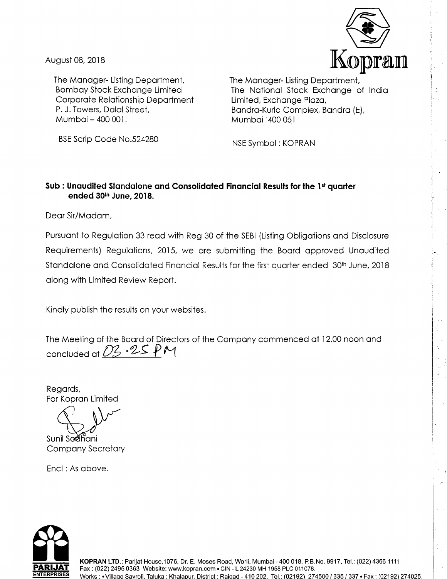

..

August 08, 2018

The Manager- Listing Department, Bombay Stock Exchange Limited Corporate Relationship Department P. J. Towers, Dalal Street, Mumbai-400 001.

The Manager- Listing Department, The National Stock Exchange of India Limited, Exchange Plaza, Bandra-Kurla Complex, Bandra (E), Mumbai 400 051

BSE Scrip Code No.524280

NSE Symbol : KOPRAN

### **Sub: Unaudited Standalone and Consolidated Financial Results for the 1st quarter ended 3Qth June, 2018.**

Dear Sir/Madam,

Pursuant to Regulation 33 read with Reg 30 of the SEBI (Listing Obligations and Disclosure Requirements) Regulations, 2015, we are submitting the Board approved Unaudited Standalone and Consolidated Financial Results for the first quarter ended 30<sup>th</sup> June, 2018 along with Limited Review Report.

Kindly publish the results on your websites.

The Meeting of the Board of Directors of the Company commenced at 12.00 noon and concluded at *D<sub>3</sub>* . 25 PM

Regards, For Kopran Limited

Sunil Sodhani Company Secretary

Encl: As above.

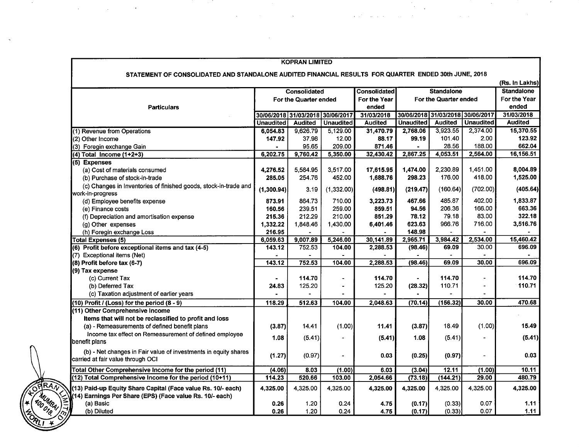|                                                                                                                          |                                                           | <b>KOPRAN LIMITED</b> |                  |                     |                                                           |                |                  |                   |
|--------------------------------------------------------------------------------------------------------------------------|-----------------------------------------------------------|-----------------------|------------------|---------------------|-----------------------------------------------------------|----------------|------------------|-------------------|
| STATEMENT OF CONSOLIDATED AND STANDALONE AUDITED FINANCIAL RESULTS FOR QUARTER ENDED 30th JUNE, 2018                     |                                                           |                       |                  |                     |                                                           |                |                  |                   |
|                                                                                                                          |                                                           |                       |                  |                     |                                                           |                |                  | (Rs. In Lakhs)    |
|                                                                                                                          |                                                           | <b>Consolidated</b>   |                  | <b>Consolidated</b> | <b>Standalone</b>                                         |                |                  | <b>Standalone</b> |
|                                                                                                                          | For the Quarter ended<br>30/06/2018 31/03/2018 30/06/2017 |                       |                  | For the Year        | For the Quarter ended<br>30/06/2018 31/03/2018 30/06/2017 |                |                  | For the Year      |
| <b>Particulars</b>                                                                                                       |                                                           |                       |                  | ended               |                                                           |                |                  | ended             |
|                                                                                                                          |                                                           |                       |                  | 31/03/2018          |                                                           |                |                  | 31/03/2018        |
|                                                                                                                          | <b>Unaudited</b>                                          | <b>Audited</b>        | <b>Unaudited</b> | <b>Audited</b>      | <b>Unaudited</b>                                          | <b>Audited</b> | <b>Unaudited</b> | <b>Audited</b>    |
| (1) Revenue from Operations                                                                                              | 6,054.83                                                  | 9,626.79              | 5,129.00         | 31,470.79           | 2,768.06                                                  | 3,923.55       | 2,374.00         | 15,370.55         |
| (2) Other Income                                                                                                         | 147.92                                                    | 37.98                 | 12.00            | 88.17               | 99.19                                                     | 101.40         | 2.00             | 123.92            |
| (3) Foregin exchange Gain                                                                                                |                                                           | 95.65                 | 209.00           | 871.46              | $\ddot{\phantom{1}}$                                      | 28.56          | 188.00           | 662.04            |
| $(4)$ Total Income $(1+2+3)$                                                                                             | 6,202.75                                                  | 9,760.42              | 5,350.00         | 32,430.42           | 2,867.25                                                  | 4,053.51       | 2,564.00         | 16,156.51         |
| (5) Expenses                                                                                                             |                                                           |                       |                  |                     |                                                           |                |                  |                   |
| (a) Cost of materials consumed                                                                                           | 4,276.52                                                  | 5,584.95              | 3,517.00         | 17,615.95           | 1,474.00                                                  | 2,230.89       | 1,451.00         | 8,004.89          |
| (b) Purchase of stock-in-trade                                                                                           | 285.05                                                    | 254.76                | 452.00           | 1,688.76            | 298.23                                                    | 176.00         | 418.00           | 1,525.00          |
| (c) Changes in Inventories of finished goods, stock-in-trade and<br>work-in-progress                                     | (1,300.94)                                                | 3.19                  | (1,332.00)       | (498.81)            | (219.47)                                                  | (160.64)       | (702.00)         | (405.64)          |
| (d) Employee benefits expense                                                                                            | 873.91                                                    | 864.73                | 710.00           | 3,223.73            | 467.66                                                    | 485.87         | 402.00           | 1,833.87          |
| (e) Finance costs                                                                                                        | 160.56                                                    | 239.51                | 259.00           | 859.51              | 94.56                                                     | 206.36         | 166.00           | 663.36            |
| (f) Depreciation and amortisation expense                                                                                | 215.36                                                    | 212.29                | 210.00           | 851.29              | 78.12                                                     | 79.18          | 83.00            | 322.18            |
| (g) Other expenses                                                                                                       | 1,332.22                                                  | 1,848.46              | 1,430.00         | 6,401.46            | 623.63                                                    | 966.76         | 716.00           | 3,516.76          |
| (h) Foregin exchange Loss                                                                                                | 216.95                                                    |                       |                  |                     | 148.98                                                    |                |                  |                   |
| <b>Total Expenses (5)</b>                                                                                                | 6,059.63                                                  | 9,007.89              | 5,246.00         | 30,141.89           | 2,965.71                                                  | 3,984.42       | 2,534.00         | 15,460.42         |
| (6) Profit before exceptional items and tax (4-5)                                                                        | 143.12                                                    | 752.53                | 104.00           | 2,288.53            | (98.46)                                                   | 69.09          | 30.00            | 696.09            |
| (7) Exceptional items (Net)                                                                                              |                                                           |                       |                  |                     |                                                           |                |                  |                   |
| (8) Profit before tax (6-7)                                                                                              | 143.12                                                    | 752.53                | 104.00           | 2,288.53            | (98.46)                                                   | 69.09          | 30.00            | 696.09            |
| (9) Tax expense                                                                                                          |                                                           |                       |                  |                     |                                                           |                |                  |                   |
| (c) Current Tax                                                                                                          |                                                           | 114.70                | $\blacksquare$   | 114.70              |                                                           | 114.70         |                  | 114.70            |
| (b) Deferred Tax                                                                                                         | 24.83                                                     | 125.20                | $\blacksquare$   | 125.20              | (28.32)                                                   | 110.71         | $\overline{a}$   | 110.71            |
| (c) Taxation adjustment of earlier years                                                                                 |                                                           |                       |                  |                     |                                                           |                |                  |                   |
| $(10)$ Profit / (Loss) for the period $(8 - 9)$                                                                          | 118.29                                                    | 512.63                | 104.00           | 2,048.63            | (70.14)                                                   | (156.32)       | 30.00            | 470.68            |
| (11) Other Comprehensive Income                                                                                          |                                                           |                       |                  |                     |                                                           |                |                  |                   |
| Items that will not be reclassified to profit and loss                                                                   |                                                           |                       |                  |                     |                                                           |                |                  |                   |
| (a) - Remeasurements of defined benefit plans                                                                            | (3.87)                                                    | 14.41                 | (1.00)           | 11.41               | (3.87)                                                    | 18.49          | (1.00)           | 15.49             |
| Income tax effect on Remeasurement of defined employee<br>benefit plans                                                  | 1.08                                                      | (5.41)                |                  | (5.41)              | 1.08                                                      | (5.41)         |                  | (5.41)            |
| (b) - Net changes in Fair value of investments in equity shares<br>carried at fair value through OCI                     | (1.27)                                                    | (0.97)                |                  | 0.03                | (0.25)                                                    | (0.97)         |                  | 0.03              |
| Total Other Comprehensive Income for the period (11)                                                                     | (4.06)                                                    | 8.03                  | (1.00)           | 6.03                | (3.04)                                                    | 12.11          | (1.00)           | 10.11             |
| (12) Total Comprehensive Income for the period (10+11)                                                                   | 114.23                                                    | 520.66                | 103.00           | 2,054.66            | (73.18)                                                   | (144.21)       | 29.00            | 480.79            |
| (13) Paid-up Equity Share Capital (Face value Rs. 10/- each)<br>(14) Earnings Per Share (EPS) (Face value Rs. 10/- each) | 4,325.00                                                  | 4,325.00              | 4,325.00         | 4,325.00            | 4,325.00                                                  | 4,325.00       | 4,325.00         | 4,325.00          |
| (MUMBAI)-<br>(a) Basic                                                                                                   | 0.26                                                      | 1.20                  | 0.24             | 4.75                | (0.17)                                                    | (0.33)         | 0.07             | 1.11              |
| (b) Diluted<br>$\gamma_{L}$                                                                                              | 0.26                                                      | 1.20                  | 0.24             | 4.75                | (0.17)                                                    | (0.33)         | 0.07             | 1.11              |

a sa mga banda ng mga banda ng mga banda ng mga banda ng mga banda ng mga banda ng mga banda ng mga banda ng m<br>Mga banda ng mga banda ng mga banda ng mga banda ng mga banda ng mga banda ng mga banda ng mga banda ng mga ba

 $\label{eq:2.1} \frac{d^2\mathbf{r}}{d\mathbf{r}} = \frac{1}{2}\left[ \frac{1}{2}\left( \frac{\mathbf{r}}{d\mathbf{r}} + \frac{\mathbf{r}}{d\mathbf{r}} \right) + \frac{1}{2}\left( \frac{\mathbf{r}}{d\mathbf{r}} + \frac{\mathbf{r}}{d\mathbf{r}} \right) + \frac{1}{2}\left( \frac{\mathbf{r}}{d\mathbf{r}} + \frac{\mathbf{r}}{d\mathbf{r}} \right) + \frac{1}{2}\left( \frac{\mathbf{r}}{d\mathbf{r}} + \frac{\mathbf{r}}{d\mathbf{r}} \$ 

 $\mathbf{w} = \mathbf{w} \times \mathbf{w}$  , where  $\mathbf{w} = \mathbf{w} \times \mathbf{w}$ 

 $\frac{R_{L+1}}{R_{L+1}}$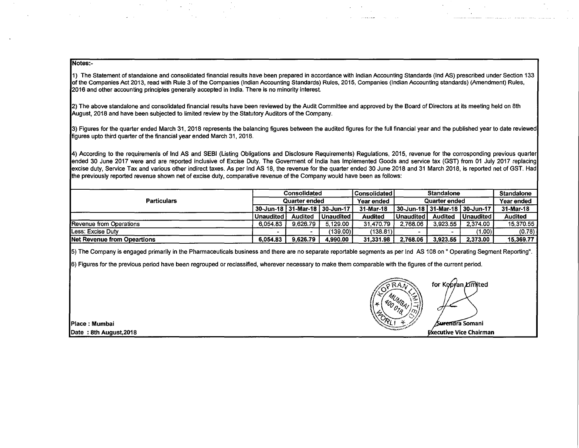#### Notes:-

1) The Statement of standalone and consolidated financial results have been prepared in accordance with Indian Accounting Standards (Ind AS) prescribed under Section 133 of the Companies Act 2013, read with Rule 3 of the Companies (Indian Accounting Standards) Rules, 2015, Companies (Indian Accounting standards) (Amendment) Rules, 2016 and other accounting principles generally accepted in India. There is no minority interest.

**Carl County** 

**Contractor** 

2) The above standalone and consolidated financial results have been reviewed by the Audit Committee and approved by the Board of Directors at its meeting held on 8th August, 2018 and have been subjected to limited review by the Statutory Auditors of the Company.

3) Figures for the quarter ended March 31, 2018 represents the balancing figures between the audited figures for the full financial year and the published year to date reviewed figures upto third quarter of the financial year ended March 31, 2018.

4) According to the requiremenls of Ind AS and SEBI (Listing Obligations and Disclosure Requirements) Regulations, 2015, revenue for the corresponding previous quarter ended 30 June 2017 were and are reported inclusive of Excise Duty. The Goverment of India has Implemented Goods and service tax (GST) from 01 July 2017 replacing excise duty, Service Tax and various other indirect taxes. As per Ind AS 18, the revenue for the quarter ended 30 June 2018 and 31 March 2018, is reported net of GST. Had the previously reported revenue shown net of excise duty, comparative revenue of the Company would have been as follows:

| <b>Particulars</b>                  | Consolidated<br>Quarter ended |                                   |               | l Consolidated I | <b>Standalone</b><br>Quarter ended |                                   |                  | <b>Standalone</b> |
|-------------------------------------|-------------------------------|-----------------------------------|---------------|------------------|------------------------------------|-----------------------------------|------------------|-------------------|
|                                     |                               |                                   |               | Year ended       |                                    |                                   |                  | Year ended        |
|                                     |                               | 30-Jun-18   31-Mar-18   30-Jun-17 |               | 31-Mar-18        |                                    | 30-Jun-18   31-Mar-18   30-Jun-17 |                  | 31-Mar-18         |
|                                     | Unaudited                     | <b>Audited</b>                    | l Unaudited I | <b>Audited</b>   | <b>Unaudited</b>                   | <b>Audited</b>                    | <b>Unaudited</b> | Audited           |
| Revenue from Operations             | 6.054.83                      | 9.626.79                          | 5.129.00      | 31.470.79        | 2.768.06                           | 3.923.55                          | 2.374.00         | 15.370.55         |
| Less: Excise Duty                   |                               |                                   | (139.00) I    | (138.81)         |                                    |                                   | (1.00) l         | (0.78)            |
| <b>INet Revenue from Opeartions</b> | 6.054.83                      | 9.626.79                          | 4.990.00      | 31.331.98        | 2.768.06                           | 3.923.55                          | 2,373.00         | 15,369.77         |

5) The Company is engaged primarily in the Pharmaceuticals business and there are no separate reportable segments as per Ind AS 108 on" Operating Segment Reporting".

6) Figures for the previous period have been regrouped or reclassified, wherever necessary to make them comparable with the figures of the current period.

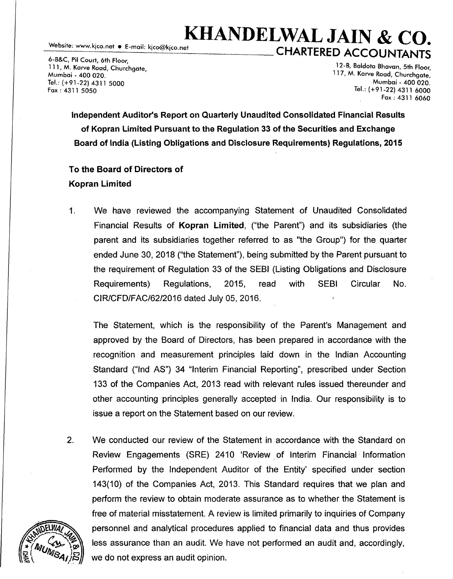## . . **KHANDELWAL JAIN & CO. CHARTERED ACCOUNTANTS**

6-B&C, Pil Court, 6th Floor, 111, M. Karve Road, Churchgate, Mumbai - 400 020. Tel.: (+91-22) 4311 5000 Fax: 4311 5050

12-B, Baldota Bhavan, 5th Floor, 117, M. Karve Road, Churchgate, Mumbai - 400 020. Tel.: (+91-22) 4311 6000 Fax: 4311 6060

Independent Auditor's Report on Quarterly Unaudited Consolidated Financial Results of Kopran Limited Pursuant to the Regulation 33 of the Securities and Exchange Board of India (Listing Obligations and Disclosure Requirements) Regulations, 2015

## To the Board of Directors of Kopran Limited

1. We have reviewed the accompanying Statement of Unaudited Consolidated Financial Results of Kopran Limited, ("the Parent") and its subsidiaries (the parent and its subsidiaries together referred to as "the Group") for the quarter ended June 30, 2018 ("the Statement"), being submitted by the Parent pursuant to the requirement of Regulation 33 of the SEBI (Listing Obligations and Disclosure Requirements) Regulations, 2015, read with SEBI Circular No. CIR/CFD/FAC/62/2016 dated July 05, 2016.

The Statement, which is the responsibility of the Parent's Management and approved by the Board of Directors, has been prepared in accordance with the recognition and measurement principles laid down in the Indian Accounting Standard ("Ind AS") 34 "Interim Financial Reporting", prescribed under Section 133 of the Companies Act, 2013 read with relevant rules issued thereunder and other accounting principles generally accepted in India. Our responsibility is to issue a report on the Statement based on our review.

2. We conducted our review of the Statement in accordance with the Standard on Review Engagements (SRE) 2410 'Review of Interim Financial Information Performed by the Independent Auditor of the Entity' specified under section 143(10) of the Companies Act, 2013. This Standard requires that we plan and perform the review to obtain moderate assurance as to whether the Statement is free of material misstatement. A review is limited primarily to inquiries of Company personnel and analytical procedures applied to financial data and thus provides less assurance than an audit. We have not performed an audit and, accordingly, we do not express an audit opinion.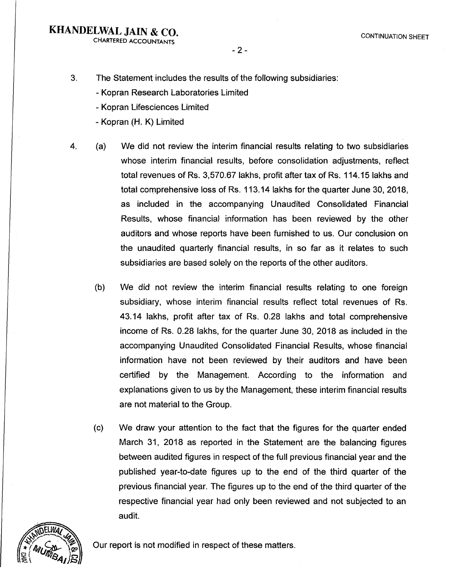CHARTERED ACCOUNTANTS

- 2 -

- 3. The Statement includes the results of the following subsidiaries:
	- Kopran Research Laboratories Limited
	- Kopran Lifesciences Limited
	- Kopran (H. K) Limited
- 4. (a) We did not review the interim financial results relating to two subsidiaries whose interim financial results, before consolidation adjustments, reflect total revenues of Rs. 3,570.67 lakhs, profit after tax of Rs. 114.15 lakhs and total comprehensive loss of Rs. 113.14 lakhs for the quarter June 30, 2018, as included in the accompanying Unaudited Consolidated Financial Results, whose financial information has been reviewed by the other auditors and whose reports have been furnished to us. Our conclusion on the unaudited quarterly financial results, in so far as it relates to such subsidiaries are based solely on the reports of the other auditors.
	- (b) We did not review the interim financial results relating to one foreign subsidiary, whose interim financial results reflect total revenues of Rs. 43.14 lakhs, profit after tax of Rs. 0.28 lakhs and total comprehensive income of Rs. 0.28 lakhs, for the quarter June 30, 2018 as included in the accompanying Unaudited Consolidated Financial Results, whose financial information have not been reviewed by their auditors and have been certified by the Management. According to the information and explanations given to us by the Management, these interim financial results are not material to the Group.
	- (c) We draw your attention to the fact that the figures for the quarter ended March 31, 2018 as reported in the Statement are the balancing figures between audited figures in respect of the full previous financial year and the published year-to-date figures up to the end of the third quarter of the previous financial year. The figures up to the end of the third quarter of the respective financial year had only been reviewed and not subjected to an audit.



Our report is not modified in respect of these matters.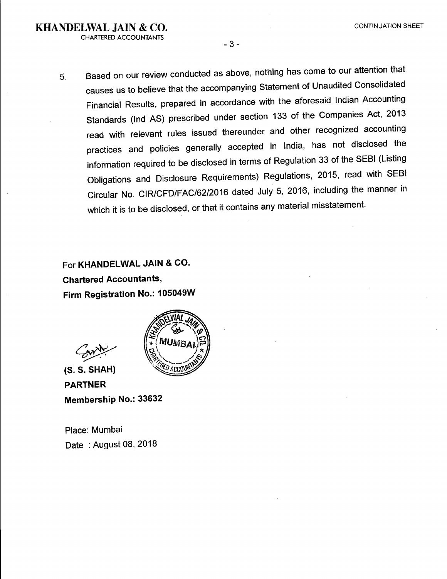- 3 -

5. Based on our review conducted as above, nothing has come to our attention that causes us to believe that the accompanying Statement of Unaudited Consolidated Financial Results, prepared in accordance with the aforesaid Indian Accounting Standards (Ind AS) prescribed under section 133 of the Companies Act, 2013 read with relevant rules issued thereunder and other recognized accounting practices and policies generally accepted in India, has not disclosed the information required to be disclosed in terms of Regulation 33 of the SEBI (Listing Obligations and Disclosure Requirements) Regulations, 2015, read with SEBI Circular No. CIR/CFD/FAC/62/2016 dated July 5, 2016, including the manner in which it is to be disclosed, or that it contains any material misstatement.

For KHANDELWAL JAIN & CO. Chartered Accountants, Firm Registration No.: 105049W

MUMR

 $\mathcal{L}$   $\mathcal{L}$   $\mathcal{L}$   $\mathcal{L}$   $\mathcal{L}$   $\mathcal{L}$   $\mathcal{L}$   $\mathcal{L}$   $\mathcal{L}$   $\mathcal{L}$   $\mathcal{L}$   $\mathcal{L}$   $\mathcal{L}$   $\mathcal{L}$   $\mathcal{L}$   $\mathcal{L}$   $\mathcal{L}$   $\mathcal{L}$   $\mathcal{L}$   $\mathcal{L}$   $\mathcal{L}$   $\mathcal{L}$   $\mathcal{L}$   $\mathcal{L}$   $\mathcal{$ 

(S.S. 0 annny PARTNER Membership No.: 33632

Place: Mumbai Date : August 08, 2018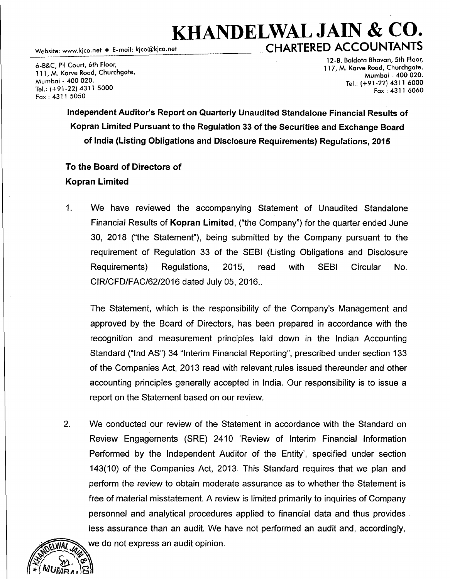# KHANDELWAL JAIN & CO. Website: www.kjco.net • E-mail: kjco@kjco.net CHARTERED ACCOUNTANTS

6-B&C, Pil Court, 6th Floor, 111, M. Karve Road, Churchgate, Mumbai - 400 020. Tel.: (+91-22) 4311 5000  $Fax: 4311 5050$ 

12-B, Baldota Bhavan, 5th Floor, 117, M. Karve Road, Churchgate, Mumbai - 400 020. Tel.: (+91-22) 4311 6000 Fax: 4311 6060

Independent Auditor's Report on Quarterly Unaudited Standalone Financial Results of Kopran Limited Pursuant to the Regulation 33 of the Securities and Exchange Board of India (Listing Obligations and Disclosure Requirements) Regulations, 2015

## To the Board of Directors of Kopran Limited

1. We have reviewed the accompanying Statement of Unaudited Standalone Financial Results of Kopran Limited, ("the Company") for the quarter ended June 30, 2018 ("the Statement"), being submitted by the Company pursuant to the requirement of Regulation 33 of the SEBI (Listing Obligations and Disclosure Requirements) Regulations, 2015, read with SEBI Circular No. CIR/CFD/FAC/62/2016 dated July 05, 2016 ..

The Statement, which is the responsibility of the Company's Management and approved by the Board of Directors, has been prepared in accordance with the recognition and measurement principles laid down in the Indian Accounting Standard ("Ind AS") 34 "Interim Financial Reporting", prescribed under section 133 of the Companies Act, 2013 read with relevant,rules issued thereunder and other accounting principles generally accepted in India. Our responsibility is to issue a report on the Statement based on our review.

2. We conducted our review of the Statement in accordance with the Standard on Review Engagements (SRE) 2410 'Review of Interim Financial Information Performed by the Independent Auditor of the Entity', specified under section 143(10) of the Companies Act, 2013. This Standard requires that we plan and perform the review to obtain moderate assurance as to whether the Statement is free of material misstatement. A review is limited primarily to inquiries of Company personnel and analytical procedures applied to financial data and thus provides less assurance than an audit. We have not performed an audit and, accordingly, we do not express an audit opinion.